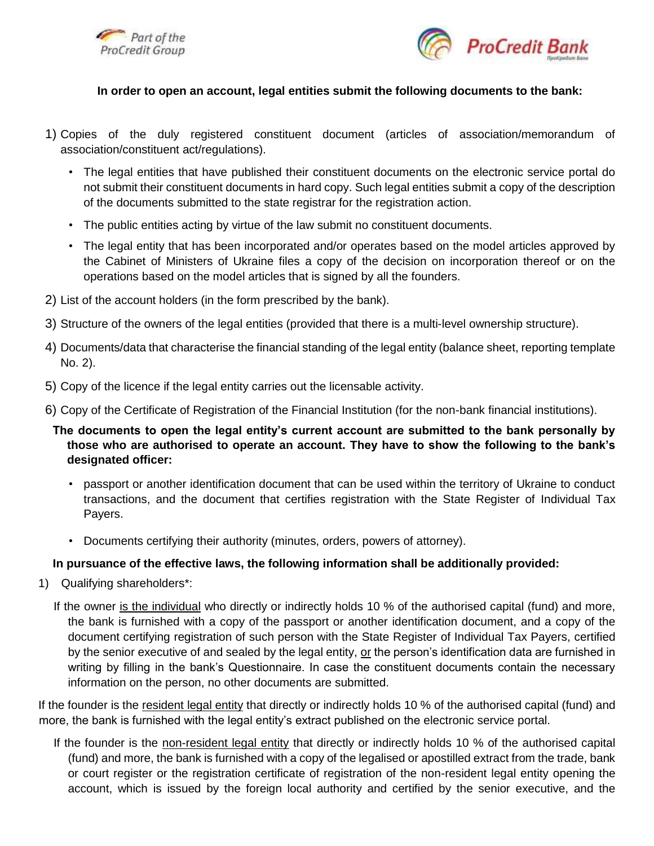



## **In order to open an account, legal entities submit the following documents to the bank:**

- 1) Copies of the duly registered constituent document (articles of association/memorandum of association/constituent act/regulations).
	- The legal entities that have published their constituent documents on the electronic service portal do not submit their constituent documents in hard copy. Such legal entities submit a copy of the description of the documents submitted to the state registrar for the registration action.
	- The public entities acting by virtue of the law submit no constituent documents.
	- The legal entity that has been incorporated and/or operates based on the model articles approved by the Cabinet of Ministers of Ukraine files a copy of the decision on incorporation thereof or on the operations based on the model articles that is signed by all the founders.
- 2) List of the account holders (in the form prescribed by the bank).
- 3) Structure of the owners of the legal entities (provided that there is a multi-level ownership structure).
- 4) Documents/data that characterise the financial standing of the legal entity (balance sheet, reporting template No. 2).
- 5) Copy of the licence if the legal entity carries out the licensable activity.
- 6) Copy of the Certificate of Registration of the Financial Institution (for the non-bank financial institutions).
	- **The documents to open the legal entity's current account are submitted to the bank personally by those who are authorised to operate an account. They have to show the following to the bank's designated officer:** 
		- passport or another identification document that can be used within the territory of Ukraine to conduct transactions, and the document that certifies registration with the State Register of Individual Tax Payers.
		- Documents certifying their authority (minutes, orders, powers of attorney).

## **In pursuance of the effective laws, the following information shall be additionally provided:**

- 1) Qualifying shareholders\*:
	- If the owner is the individual who directly or indirectly holds 10 % of the authorised capital (fund) and more, the bank is furnished with a copy of the passport or another identification document, and a copy of the document certifying registration of such person with the State Register of Individual Tax Payers, certified by the senior executive of and sealed by the legal entity, or the person's identification data are furnished in writing by filling in the bank's Questionnaire. In case the constituent documents contain the necessary information on the person, no other documents are submitted.

If the founder is the resident legal entity that directly or indirectly holds 10 % of the authorised capital (fund) and more, the bank is furnished with the legal entity's extract published on the electronic service portal.

If the founder is the non-resident legal entity that directly or indirectly holds 10 % of the authorised capital (fund) and more, the bank is furnished with a copy of the legalised or apostilled extract from the trade, bank or court register or the registration certificate of registration of the non-resident legal entity opening the account, which is issued by the foreign local authority and certified by the senior executive, and the